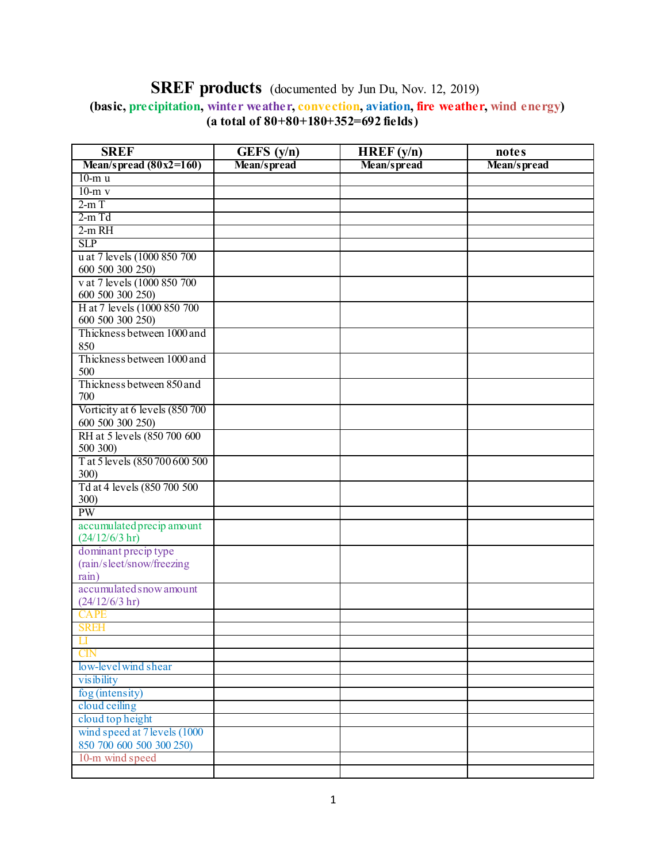## **SREF products** (documented by Jun Du, Nov. 12, 2019)  **(basic, precipitation, winter weather, convection, aviation, fire weather, wind energy) (a total of 80+80+180+352=692 fields)**

| <b>SREF</b>                      | GEFS $(y/n)$ | HREF(y/n)   | notes       |
|----------------------------------|--------------|-------------|-------------|
| Mean/spread $(80x2=160)$         | Mean/spread  | Mean/spread | Mean/spread |
| $10-m$ u                         |              |             |             |
| $10-m$ v                         |              |             |             |
| $2-mT$                           |              |             |             |
| $2-m$ Td                         |              |             |             |
| $2-m RH$                         |              |             |             |
| <b>SLP</b>                       |              |             |             |
| u at 7 levels (1000 850 700      |              |             |             |
| 600 500 300 250)                 |              |             |             |
| v at 7 levels (1000 850 700      |              |             |             |
| 600 500 300 250)                 |              |             |             |
| H at 7 levels (1000 850 700      |              |             |             |
| 600 500 300 250)                 |              |             |             |
| Thickness between 1000 and       |              |             |             |
| 850                              |              |             |             |
| Thickness between 1000 and       |              |             |             |
| 500                              |              |             |             |
| Thickness between 850 and<br>700 |              |             |             |
| Vorticity at 6 levels (850 700   |              |             |             |
| 600 500 300 250)                 |              |             |             |
| RH at 5 levels (850 700 600      |              |             |             |
| 500 300)                         |              |             |             |
| T at 5 levels (850 700 600 500   |              |             |             |
| 300)                             |              |             |             |
| Td at 4 levels (850 700 500      |              |             |             |
| 300)                             |              |             |             |
| <b>PW</b>                        |              |             |             |
| accumulated precip amount        |              |             |             |
| (24/12/6/3 hr)                   |              |             |             |
| dominant precip type             |              |             |             |
| (rain/sleet/snow/freezing        |              |             |             |
| rain)                            |              |             |             |
| accumulated snow amount          |              |             |             |
| (24/12/6/3 hr)                   |              |             |             |
| <b>CAPE</b>                      |              |             |             |
| <b>SREH</b>                      |              |             |             |
| $\prod$                          |              |             |             |
| <b>CIN</b>                       |              |             |             |
| low-level wind shear             |              |             |             |
| visibility                       |              |             |             |
| fog (intensity)                  |              |             |             |
| cloud ceiling                    |              |             |             |
| cloud top height                 |              |             |             |
| wind speed at 7 levels (1000     |              |             |             |
| 850 700 600 500 300 250)         |              |             |             |
| 10-m wind speed                  |              |             |             |
|                                  |              |             |             |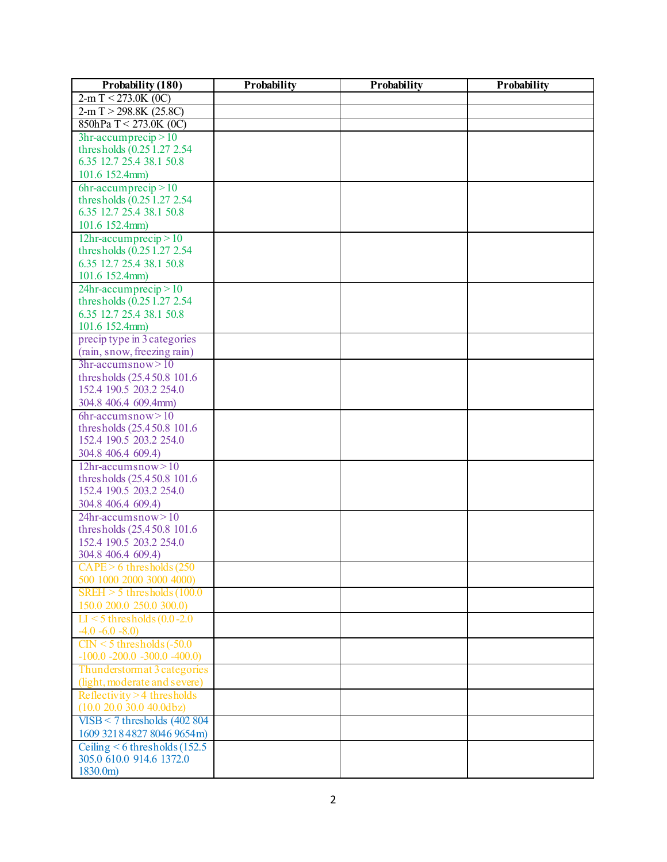| Probability (180)                                      | Probability | Probability | Probability |
|--------------------------------------------------------|-------------|-------------|-------------|
| $2-m$ T < 273.0K (0C)                                  |             |             |             |
| $2-m$ T > 298.8K (25.8C)                               |             |             |             |
| 850hPa T < 273.0K (0C)                                 |             |             |             |
| $3hr-accuracy > 10$                                    |             |             |             |
| thresholds (0.25 1.27 2.54)                            |             |             |             |
| 6.35 12.7 25.4 38.1 50.8                               |             |             |             |
| 101.6 152.4mm)                                         |             |             |             |
| $6hr-accuracy > 10$                                    |             |             |             |
| thresholds (0.25 1.27 2.54)                            |             |             |             |
| 6.35 12.7 25.4 38.1 50.8                               |             |             |             |
| 101.6 152.4mm)                                         |             |             |             |
| $12hr$ -accumprecip $>10$                              |             |             |             |
| thresholds (0.25 1.27 2.54)                            |             |             |             |
| 6.35 12.7 25.4 38.1 50.8                               |             |             |             |
| 101.6 152.4mm)                                         |             |             |             |
| $24hr$ -accumprecip $>10$                              |             |             |             |
| thresholds (0.25 1.27 2.54)                            |             |             |             |
| 6.35 12.7 25.4 38.1 50.8                               |             |             |             |
| 101.6 152.4mm)                                         |             |             |             |
| precip type in 3 categories                            |             |             |             |
| (rain, snow, freezing rain)                            |             |             |             |
| $3hr-accuracy > 10$                                    |             |             |             |
| thresholds (25.450.8 101.6)                            |             |             |             |
| 152.4 190.5 203.2 254.0                                |             |             |             |
| 304.8 406.4 609.4mm)                                   |             |             |             |
| $6hr-accum snow>10$                                    |             |             |             |
| thresholds (25.450.8 101.6)<br>152.4 190.5 203.2 254.0 |             |             |             |
| 304.8 406.4 609.4)                                     |             |             |             |
| $12hr$ -accumsnow > 10                                 |             |             |             |
| thresholds (25.450.8 101.6)                            |             |             |             |
| 152.4 190.5 203.2 254.0                                |             |             |             |
| 304.8 406.4 609.4)                                     |             |             |             |
| $24hr-accuracy > 10$                                   |             |             |             |
| thresholds (25.450.8 101.6)                            |             |             |             |
| 152.4 190.5 203.2 254.0                                |             |             |             |
| 304.8 406.4 609.4)                                     |             |             |             |
| $CAPE > 6$ thresholds $(250$                           |             |             |             |
| 500 1000 2000 3000 4000)                               |             |             |             |
| $SREH > 5$ thresholds (100.0)                          |             |             |             |
| 150.0 200.0 250.0 300.0)                               |             |             |             |
| $LI < 5$ thresholds (0.0-2.0)                          |             |             |             |
| $-4.0 -6.0 -8.0$                                       |             |             |             |
| $CIN < 5$ thresholds $(-50.0)$                         |             |             |             |
| $-100.0 -200.0 -300.0 -400.0$                          |             |             |             |
| Thunderstormat 3 categories                            |             |             |             |
| (light, moderate and severe)                           |             |             |             |
| Reflectivity $>4$ thresholds                           |             |             |             |
| $(10.0 20.0 30.0 40.0$ dbz)                            |             |             |             |
| $VISB < 7$ thresholds (402 804)                        |             |             |             |
| 1609 3218 4827 8046 9654m)                             |             |             |             |
| Ceiling $\leq 6$ thresholds (152.5)                    |             |             |             |
| 305.0 610.0 914.6 1372.0                               |             |             |             |
| 1830.0m)                                               |             |             |             |